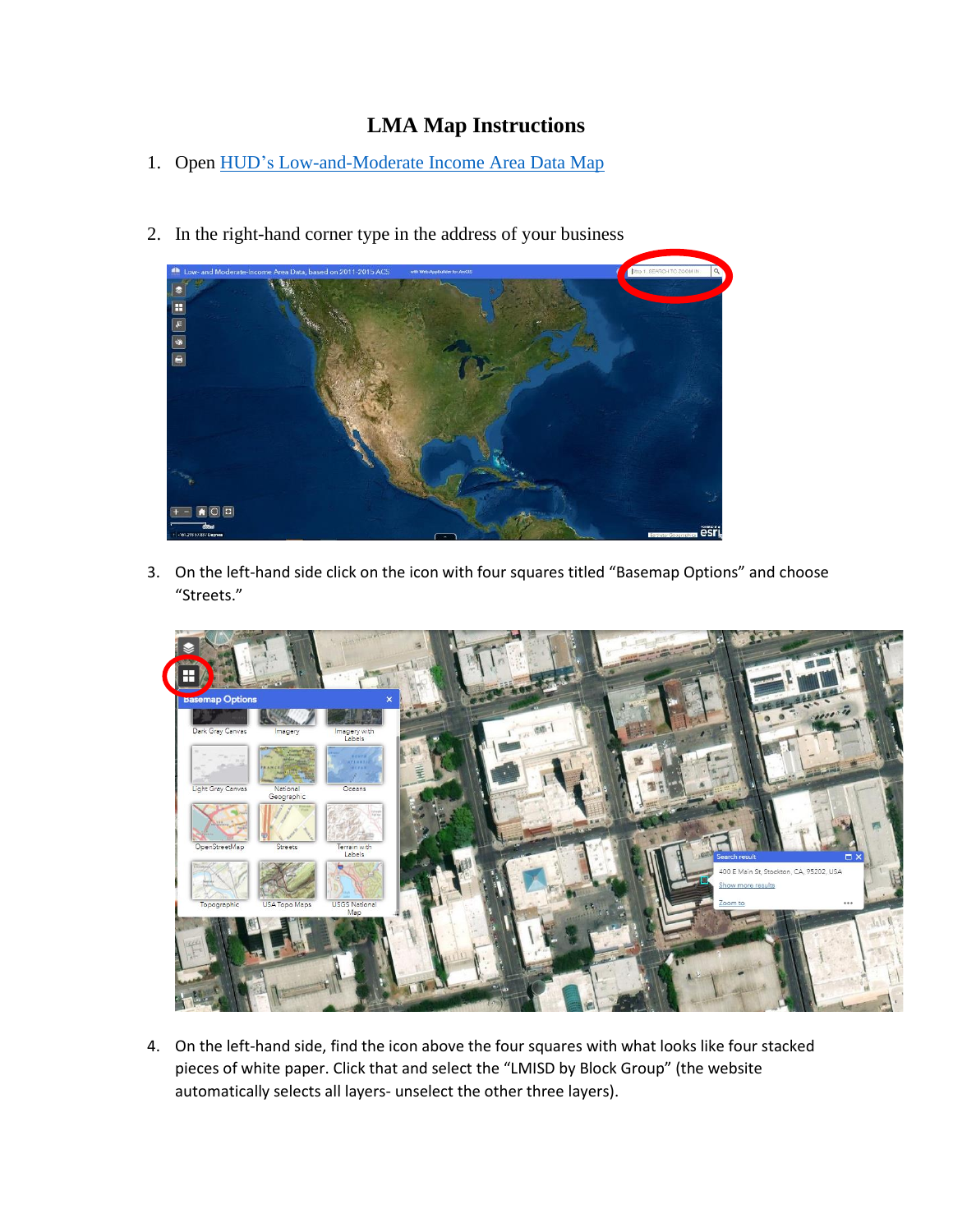## **LMA Map Instructions**

- 1. Open HUD's [Low-and-Moderate Income Area Data Map](https://hud.maps.arcgis.com/apps/webappviewer/index.html?id=ffd0597e8af24f88b501b7e7f326bedd)
	-
- 2. In the right-hand corner type in the address of your business

3. On the left-hand side click on the icon with four squares titled "Basemap Options" and choose "Streets."



4. On the left-hand side, find the icon above the four squares with what looks like four stacked pieces of white paper. Click that and select the "LMISD by Block Group" (the website automatically selects all layers- unselect the other three layers).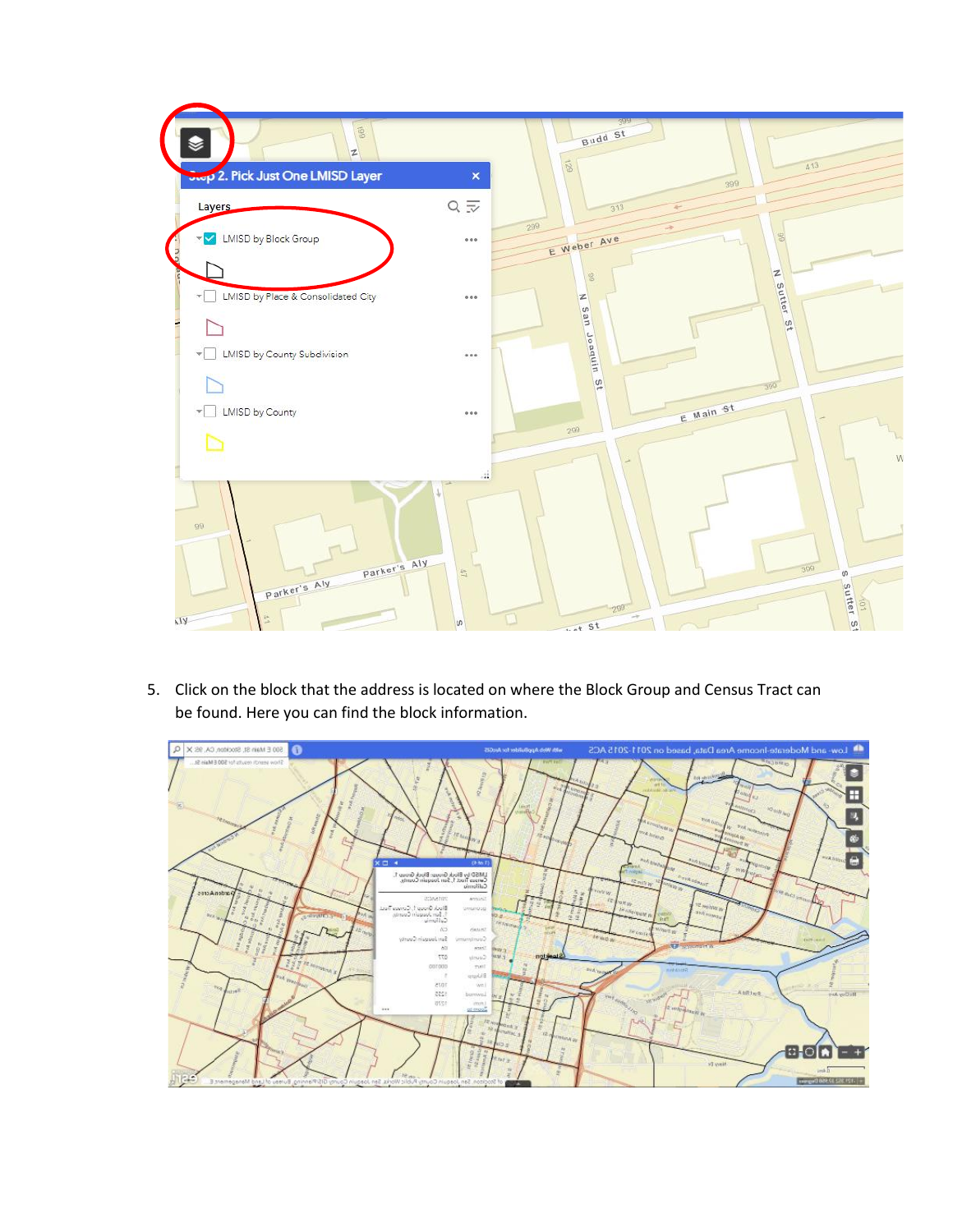

5. Click on the block that the address is located on where the Block Group and Census Tract can be found. Here you can find the block information.

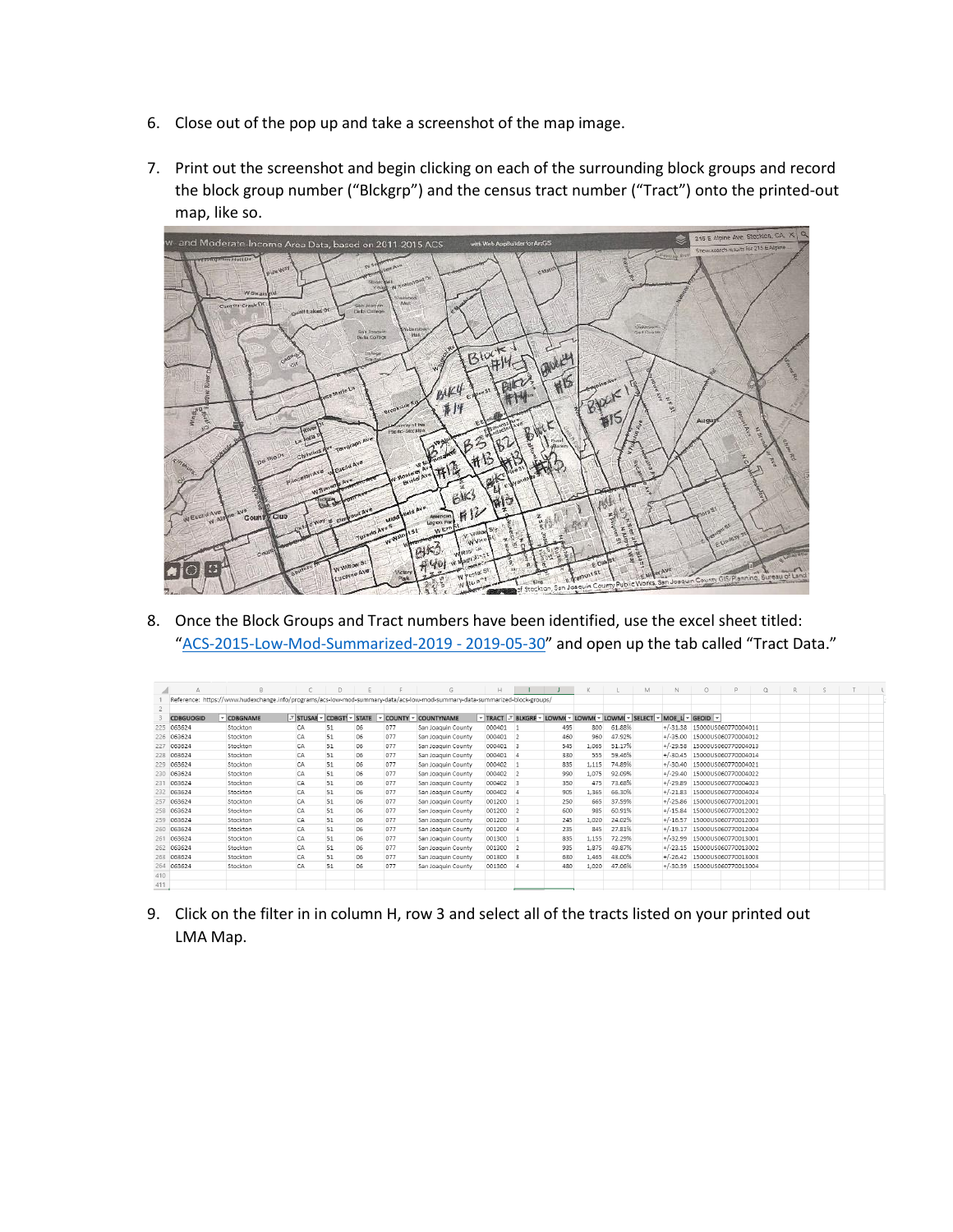- 6. Close out of the pop up and take a screenshot of the map image.
- 7. Print out the screenshot and begin clicking on each of the surrounding block groups and record the block group number ("Blckgrp") and the census tract number ("Tract") onto the printed-out map, like so.



8. Once the Block Groups and Tract numbers have been identified, use the excel sheet titled: "[ACS-2015-Low-Mod-Summarized-2019 -](https://stocktonca.sharepoint.com/:x:/r/sites/collab/economicdevsite/_layouts/15/Doc.aspx?sourcedoc=%7BC3ED324F-01D7-4FA3-92A1-B6FFCE6D6BB8%7D&file=ACS-2015-Low-Mod-Summarized-2019%20-%202019-05-30.xlsx&action=default&mobileredirect=true&DefaultItemOpen=1) 2019-05-30" and open up the tab called "Tract Data."

|     | А                |            |    | D  |    |     | G                                                                                                                           | H      |                         |                                                                   | K     |        | M | N          | $\circ$ | D                            | $\circ$ | R. | s |  |
|-----|------------------|------------|----|----|----|-----|-----------------------------------------------------------------------------------------------------------------------------|--------|-------------------------|-------------------------------------------------------------------|-------|--------|---|------------|---------|------------------------------|---------|----|---|--|
|     |                  |            |    |    |    |     | Reference: https://www.hudexchange.info/programs/acs-low-mod-summary-data/acs-low-mod-summary-data-summarized-block-groups/ |        |                         |                                                                   |       |        |   |            |         |                              |         |    |   |  |
|     |                  |            |    |    |    |     |                                                                                                                             |        |                         |                                                                   |       |        |   |            |         |                              |         |    |   |  |
|     | <b>CDBGUOGID</b> | - CDBGNAME |    |    |    |     | -T STUSAE - CDBGTI - STATE - COUNTY - COUNTYNAME                                                                            |        |                         | TRACT T BLKGRF V LOWM( V LOWM( V LOWM( V SELECT V MOE L V GEOID V |       |        |   |            |         |                              |         |    |   |  |
| 225 | 063624           | Stockton   | CA | 51 | 06 | 077 | San Joaquin County                                                                                                          | 000401 |                         | 495                                                               | 800   | 61.88% |   |            |         | +/-31.38 15000US060770004011 |         |    |   |  |
| 226 | 063624           | Stockton   | CA | 51 | 06 | 077 | San Joaquin County                                                                                                          | 000401 | $\overline{2}$          | 460                                                               | 960   | 47.92% |   | $+/-35.00$ |         | 15000US060770004012          |         |    |   |  |
| 227 | 063624           | Stockton   | CA | 51 | 06 | 077 | San Joaquin County                                                                                                          | 000401 | $\overline{\mathbf{3}}$ | 545                                                               | 1.065 | 51.17% |   | $+/-29.58$ |         | 15000US060770004013          |         |    |   |  |
| 228 | 063624           | Stockton   | CA | 51 | 06 | 077 | San Joaquin County                                                                                                          | 000401 |                         | 330                                                               | 555   | 59.46% |   | $+/-30.45$ |         | 15000US060770004014          |         |    |   |  |
|     | 229 063624       | Stockton   | CA | 51 | 06 | 077 | San Joaquin County                                                                                                          | 000402 |                         | 835                                                               | 1.115 | 74.89% |   | $+/-30.40$ |         | 15000US060770004021          |         |    |   |  |
| 230 | 063624           | Stockton   | CA | 51 | 06 | 077 | San Joaquin County                                                                                                          | 000402 | $\overline{2}$          | 990                                                               | 1.075 | 92.09% |   | $+/-29.40$ |         | 15000US060770004022          |         |    |   |  |
| 231 | 063624           | Stockton   | CA | 51 | 06 | 077 | San Joaquin County                                                                                                          | 000402 | $\overline{\mathbf{3}}$ | 350                                                               | 475   | 73.68% |   | $+/-29.89$ |         | 15000US060770004023          |         |    |   |  |
| 232 | 063624           | Stockton   | CA | 51 | 06 | 077 | San Joaquin County                                                                                                          | 000402 | 14                      | 905                                                               | 1,365 | 66.30% |   | $+/-21.83$ |         | 15000US060770004024          |         |    |   |  |
| 257 | 063624           | Stockton   | CA | 51 | 06 | 077 | San Joaquin County                                                                                                          | 001200 |                         | 250                                                               | 665   | 37.59% |   |            |         | +/-25.86 15000US060770012001 |         |    |   |  |
|     | 258 063624       | Stockton   | CA | 51 | 06 | 077 | San Joaquin County                                                                                                          | 001200 | $\overline{2}$          | 600                                                               | 985   | 60.91% |   |            |         | +/-15.84 15000US060770012002 |         |    |   |  |
| 259 | 063624           | Stockton   | CA | 51 | 06 | 077 | San Joaquin County                                                                                                          | 001200 | $\overline{3}$          | 245                                                               | 1.020 | 24.02% |   | $+/-16.57$ |         | 15000US060770012003          |         |    |   |  |
| 260 | 063624           | Stockton   | CA | 51 | 06 | 077 | San Joaquin County                                                                                                          | 001200 |                         | 235                                                               | 845   | 27.81% |   | $+/-19.17$ |         | 15000US060770012004          |         |    |   |  |
| 261 | 063624           | Stockton   | CA | 51 | 06 | 077 | San Joaquin County                                                                                                          | 001300 |                         | 835                                                               | 1.155 | 72.29% |   | $+/-32.99$ |         | 15000US060770013001          |         |    |   |  |
| 262 | 063624           | Stockton   | CA | 51 | 06 | 077 | San Joaquin County                                                                                                          | 001300 | $\overline{2}$          | 935                                                               | 1,875 | 49.87% |   | $+/-23.15$ |         | 15000US060770013002          |         |    |   |  |
| 263 | 063624           | Stockton   | CA | 51 | 06 | 077 | San Joaquin County                                                                                                          | 001300 | 13                      | 630                                                               | 1.465 | 43.00% |   |            |         | +/-26.42 15000US060770013003 |         |    |   |  |
| 264 | 063624           | Stockton   | CA | 51 | 06 | 077 | San Joaquin County                                                                                                          | 001300 |                         | 480                                                               | 1.020 | 47.06% |   | $+/-30.39$ |         | 15000US060770013004          |         |    |   |  |
| 410 |                  |            |    |    |    |     |                                                                                                                             |        |                         |                                                                   |       |        |   |            |         |                              |         |    |   |  |
| 411 |                  |            |    |    |    |     |                                                                                                                             |        |                         |                                                                   |       |        |   |            |         |                              |         |    |   |  |
|     |                  |            |    |    |    |     |                                                                                                                             |        |                         |                                                                   |       |        |   |            |         |                              |         |    |   |  |

9. Click on the filter in in column H, row 3 and select all of the tracts listed on your printed out LMA Map.